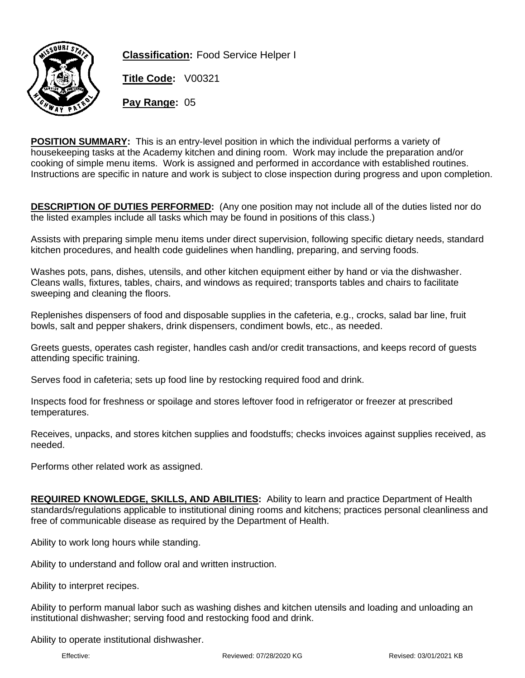

**Classification:** Food Service Helper I

**Title Code:** V00321

**Pay Range:** 05

**POSITION SUMMARY:** This is an entry-level position in which the individual performs a variety of housekeeping tasks at the Academy kitchen and dining room. Work may include the preparation and/or cooking of simple menu items. Work is assigned and performed in accordance with established routines. Instructions are specific in nature and work is subject to close inspection during progress and upon completion.

**DESCRIPTION OF DUTIES PERFORMED:** (Any one position may not include all of the duties listed nor do the listed examples include all tasks which may be found in positions of this class.)

Assists with preparing simple menu items under direct supervision, following specific dietary needs, standard kitchen procedures, and health code guidelines when handling, preparing, and serving foods.

Washes pots, pans, dishes, utensils, and other kitchen equipment either by hand or via the dishwasher. Cleans walls, fixtures, tables, chairs, and windows as required; transports tables and chairs to facilitate sweeping and cleaning the floors.

Replenishes dispensers of food and disposable supplies in the cafeteria, e.g., crocks, salad bar line, fruit bowls, salt and pepper shakers, drink dispensers, condiment bowls, etc., as needed.

Greets guests, operates cash register, handles cash and/or credit transactions, and keeps record of guests attending specific training.

Serves food in cafeteria; sets up food line by restocking required food and drink.

Inspects food for freshness or spoilage and stores leftover food in refrigerator or freezer at prescribed temperatures.

Receives, unpacks, and stores kitchen supplies and foodstuffs; checks invoices against supplies received, as needed.

Performs other related work as assigned.

**REQUIRED KNOWLEDGE, SKILLS, AND ABILITIES:** Ability to learn and practice Department of Health standards/regulations applicable to institutional dining rooms and kitchens; practices personal cleanliness and free of communicable disease as required by the Department of Health.

Ability to work long hours while standing.

Ability to understand and follow oral and written instruction.

Ability to interpret recipes.

Ability to perform manual labor such as washing dishes and kitchen utensils and loading and unloading an institutional dishwasher; serving food and restocking food and drink.

Ability to operate institutional dishwasher.